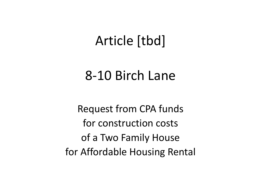### Article [tbd]

#### 8-10 Birch Lane

Request from CPA funds for construction costs of a Two Family House for Affordable Housing Rental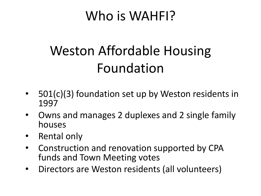### Who is WAHFI?

## Weston Affordable Housing Foundation

- 501(c)(3) foundation set up by Weston residents in 1997
- Owns and manages 2 duplexes and 2 single family houses
- Rental only
- Construction and renovation supported by CPA funds and Town Meeting votes
- Directors are Weston residents (all volunteers)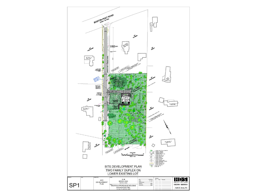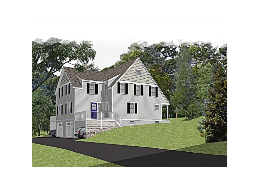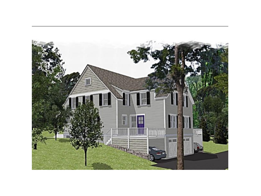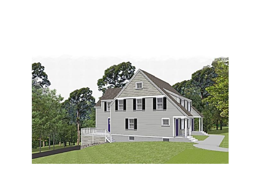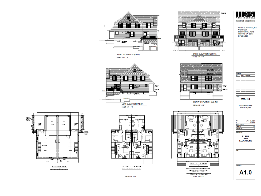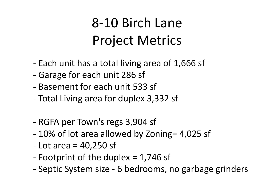## 8-10 Birch Lane Project Metrics

- Each unit has a total living area of 1,666 sf
- Garage for each unit 286 sf
- Basement for each unit 533 sf
- Total Living area for duplex 3,332 sf
- RGFA per Town's regs 3,904 sf
- 10% of lot area allowed by Zoning= 4,025 sf
- Lot area = 40,250 sf
- Footprint of the duplex = 1,746 sf
- Septic System size 6 bedrooms, no garbage grinders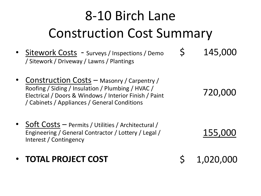# 8-10 Birch Lane Construction Cost Summary

- Sitework Costs Surveys / Inspections / Demo / Sitework / Driveway / Lawns / Plantings
- **Construction Costs Masonry / Carpentry /** Roofing / Siding / Insulation / Plumbing / HVAC / Electrical / Doors & Windows / Interior Finish / Paint / Cabinets / Appliances / General Conditions
- Soft Costs Permits / Utilities / Architectural / Engineering / General Contractor / Lottery / Legal / Interest / Contingency
- **TOTAL PROJECT COST**

\$ 1,020,000

\$ 145,000

720,000

155,000